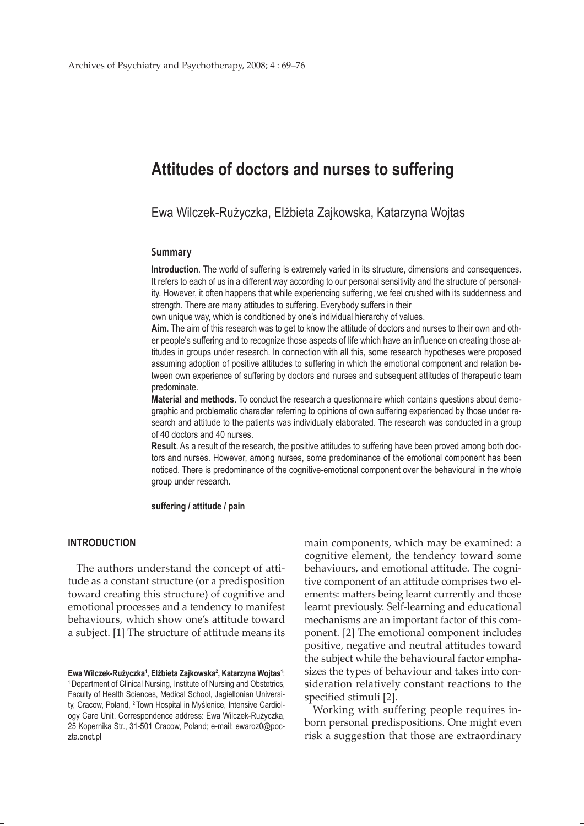# **Attitudes of doctors and nurses to suffering**

Ewa Wilczek-Rużyczka, Elżbieta Zajkowska, Katarzyna Wojtas

# **Summary**

**Introduction**. The world of suffering is extremely varied in its structure, dimensions and consequences. It refers to each of us in a different way according to our personal sensitivity and the structure of personality. However, it often happens that while experiencing suffering, we feel crushed with its suddenness and strength. There are many attitudes to suffering. Everybody suffers in their

own unique way, which is conditioned by one's individual hierarchy of values.

**Aim**. The aim of this research was to get to know the attitude of doctors and nurses to their own and other people's suffering and to recognize those aspects of life which have an influence on creating those attitudes in groups under research. In connection with all this, some research hypotheses were proposed assuming adoption of positive attitudes to suffering in which the emotional component and relation between own experience of suffering by doctors and nurses and subsequent attitudes of therapeutic team predominate.

**Material and methods**. To conduct the research a questionnaire which contains questions about demographic and problematic character referring to opinions of own suffering experienced by those under research and attitude to the patients was individually elaborated. The research was conducted in a group of 40 doctors and 40 nurses.

**Result**. As a result of the research, the positive attitudes to suffering have been proved among both doctors and nurses. However, among nurses, some predominance of the emotional component has been noticed. There is predominance of the cognitive-emotional component over the behavioural in the whole group under research.

#### **suffering / attitude / pain**

# **INTRODUCTION**

The authors understand the concept of attitude as a constant structure (or a predisposition toward creating this structure) of cognitive and emotional processes and a tendency to manifest behaviours, which show one's attitude toward a subject. [1] The structure of attitude means its

main components, which may be examined: a cognitive element, the tendency toward some behaviours, and emotional attitude. The cognitive component of an attitude comprises two elements: matters being learnt currently and those learnt previously. Self-learning and educational mechanisms are an important factor of this component. [2] The emotional component includes positive, negative and neutral attitudes toward the subject while the behavioural factor emphasizes the types of behaviour and takes into consideration relatively constant reactions to the specified stimuli [2].

Working with suffering people requires inborn personal predispositions. One might even risk a suggestion that those are extraordinary

**Ewa Wilczek-Rużyczka1 , Elżbieta Zajkowska2 , Katarzyna Wojtas1** <sup>1</sup> Department of Clinical Nursing, Institute of Nursing and Obstetrics, Faculty of Health Sciences, Medical School, Jagiellonian University, Cracow, Poland, <sup>2</sup> Town Hospital in Myślenice, Intensive Cardiology Care Unit. Correspondence address: Ewa Wilczek-Rużyczka, 25 Kopernika Str., 31-501 Cracow, Poland; e-mail: ewaroz0@poczta.onet.pl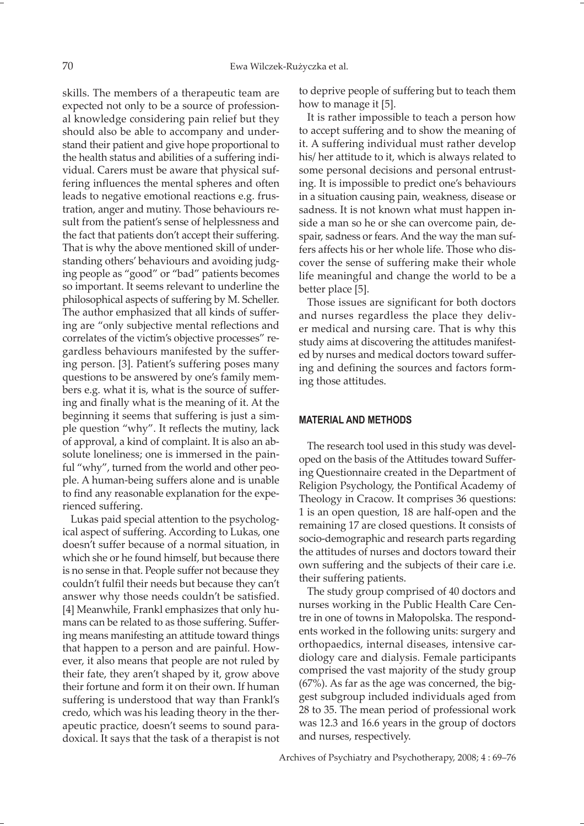skills. The members of a therapeutic team are expected not only to be a source of professional knowledge considering pain relief but they should also be able to accompany and understand their patient and give hope proportional to the health status and abilities of a suffering individual. Carers must be aware that physical suffering influences the mental spheres and often leads to negative emotional reactions e.g. frustration, anger and mutiny. Those behaviours result from the patient's sense of helplessness and the fact that patients don't accept their suffering. That is why the above mentioned skill of understanding others' behaviours and avoiding judging people as "good" or "bad" patients becomes so important. It seems relevant to underline the philosophical aspects of suffering by M. Scheller. The author emphasized that all kinds of suffering are "only subjective mental reflections and correlates of the victim's objective processes" regardless behaviours manifested by the suffering person. [3]. Patient's suffering poses many questions to be answered by one's family members e.g. what it is, what is the source of suffering and finally what is the meaning of it. At the beginning it seems that suffering is just a simple question "why". It reflects the mutiny, lack of approval, a kind of complaint. It is also an absolute loneliness; one is immersed in the painful "why", turned from the world and other people. A human-being suffers alone and is unable to find any reasonable explanation for the experienced suffering.

Lukas paid special attention to the psychological aspect of suffering. According to Lukas, one doesn't suffer because of a normal situation, in which she or he found himself, but because there is no sense in that. People suffer not because they couldn't fulfil their needs but because they can't answer why those needs couldn't be satisfied. [4] Meanwhile, Frankl emphasizes that only humans can be related to as those suffering. Suffering means manifesting an attitude toward things that happen to a person and are painful. However, it also means that people are not ruled by their fate, they aren't shaped by it, grow above their fortune and form it on their own. If human suffering is understood that way than Frankl's credo, which was his leading theory in the therapeutic practice, doesn't seems to sound paradoxical. It says that the task of a therapist is not

to deprive people of suffering but to teach them how to manage it [5].

It is rather impossible to teach a person how to accept suffering and to show the meaning of it. A suffering individual must rather develop his/ her attitude to it, which is always related to some personal decisions and personal entrusting. It is impossible to predict one's behaviours in a situation causing pain, weakness, disease or sadness. It is not known what must happen inside a man so he or she can overcome pain, despair, sadness or fears. And the way the man suffers affects his or her whole life. Those who discover the sense of suffering make their whole life meaningful and change the world to be a better place [5].

Those issues are significant for both doctors and nurses regardless the place they deliver medical and nursing care. That is why this study aims at discovering the attitudes manifested by nurses and medical doctors toward suffering and defining the sources and factors forming those attitudes.

# **MATERIAL AND METHODS**

The research tool used in this study was developed on the basis of the Attitudes toward Suffering Questionnaire created in the Department of Religion Psychology, the Pontifical Academy of Theology in Cracow. It comprises 36 questions: 1 is an open question, 18 are half-open and the remaining 17 are closed questions. It consists of socio-demographic and research parts regarding the attitudes of nurses and doctors toward their own suffering and the subjects of their care i.e. their suffering patients.

The study group comprised of 40 doctors and nurses working in the Public Health Care Centre in one of towns in Małopolska. The respondents worked in the following units: surgery and orthopaedics, internal diseases, intensive cardiology care and dialysis. Female participants comprised the vast majority of the study group (67%). As far as the age was concerned, the biggest subgroup included individuals aged from 28 to 35. The mean period of professional work was 12.3 and 16.6 years in the group of doctors and nurses, respectively.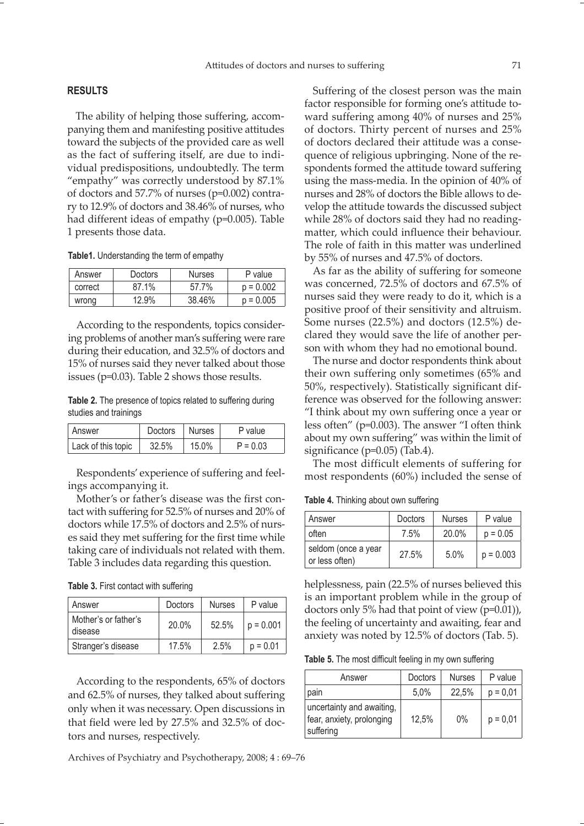### **RESULTS**

The ability of helping those suffering, accompanying them and manifesting positive attitudes toward the subjects of the provided care as well as the fact of suffering itself, are due to individual predispositions, undoubtedly. The term "empathy" was correctly understood by 87.1% of doctors and 57.7% of nurses (p=0.002) contrary to 12.9% of doctors and 38.46% of nurses, who had different ideas of empathy (p=0.005). Table 1 presents those data.

#### **Table1.** Understanding the term of empathy

| Answer  | <b>Doctors</b> | <b>Nurses</b> | P value     |
|---------|----------------|---------------|-------------|
| correct | 87.1%          | 57 7%         | $p = 0.002$ |
| wrong   | 12.9%          | 38.46%        | $p = 0.005$ |

According to the respondents, topics considering problems of another man's suffering were rare during their education, and 32.5% of doctors and 15% of nurses said they never talked about those issues (p=0.03). Table 2 shows those results.

**Table 2.** The presence of topics related to suffering during studies and trainings

| Answer             | Doctors | Nurses | P value    |
|--------------------|---------|--------|------------|
| Lack of this topic | 32.5%   | 15.0%  | $P = 0.03$ |

Respondents' experience of suffering and feelings accompanying it.

Mother's or father's disease was the first contact with suffering for 52.5% of nurses and 20% of doctors while 17.5% of doctors and 2.5% of nurses said they met suffering for the first time while taking care of individuals not related with them. Table 3 includes data regarding this question.

| Answer                          | Doctors | <b>Nurses</b> | P value     |
|---------------------------------|---------|---------------|-------------|
| Mother's or father's<br>disease | 20.0%   | 52.5%         | $p = 0.001$ |
| Stranger's disease              | 17.5%   | 2.5%          | $p = 0.01$  |

According to the respondents, 65% of doctors and 62.5% of nurses, they talked about suffering only when it was necessary. Open discussions in that field were led by 27.5% and 32.5% of doctors and nurses, respectively.

Archives of Psychiatry and Psychotherapy, 2008; 4 : 69–76

Suffering of the closest person was the main factor responsible for forming one's attitude toward suffering among 40% of nurses and 25% of doctors. Thirty percent of nurses and 25% of doctors declared their attitude was a consequence of religious upbringing. None of the respondents formed the attitude toward suffering using the mass-media. In the opinion of 40% of nurses and 28% of doctors the Bible allows to develop the attitude towards the discussed subject while 28% of doctors said they had no readingmatter, which could influence their behaviour. The role of faith in this matter was underlined by 55% of nurses and 47.5% of doctors.

As far as the ability of suffering for someone was concerned, 72.5% of doctors and 67.5% of nurses said they were ready to do it, which is a positive proof of their sensitivity and altruism. Some nurses (22.5%) and doctors (12.5%) declared they would save the life of another person with whom they had no emotional bound.

The nurse and doctor respondents think about their own suffering only sometimes (65% and 50%, respectively). Statistically significant difference was observed for the following answer: "I think about my own suffering once a year or less often" (p=0.003). The answer "I often think about my own suffering" was within the limit of significance (p=0.05) (Tab.4).

The most difficult elements of suffering for most respondents (60%) included the sense of

**Table 4.** Thinking about own suffering

| Answer                                | Doctors | <b>Nurses</b> | P value     |
|---------------------------------------|---------|---------------|-------------|
| often                                 | 7.5%    | 20.0%         | $p = 0.05$  |
| seldom (once a year<br>or less often) | 27.5%   | 5.0%          | $p = 0.003$ |

helplessness, pain (22.5% of nurses believed this is an important problem while in the group of doctors only 5% had that point of view (p=0.01)), the feeling of uncertainty and awaiting, fear and anxiety was noted by 12.5% of doctors (Tab. 5).

**Table 5.** The most difficult feeling in my own suffering

| Answer                                                              | <b>Doctors</b> | <b>Nurses</b> | P value    |
|---------------------------------------------------------------------|----------------|---------------|------------|
| pain                                                                | 5,0%           | 22,5%         | $p = 0.01$ |
| uncertainty and awaiting,<br>fear, anxiety, prolonging<br>suffering | 12,5%          | 0%            | $p = 0.01$ |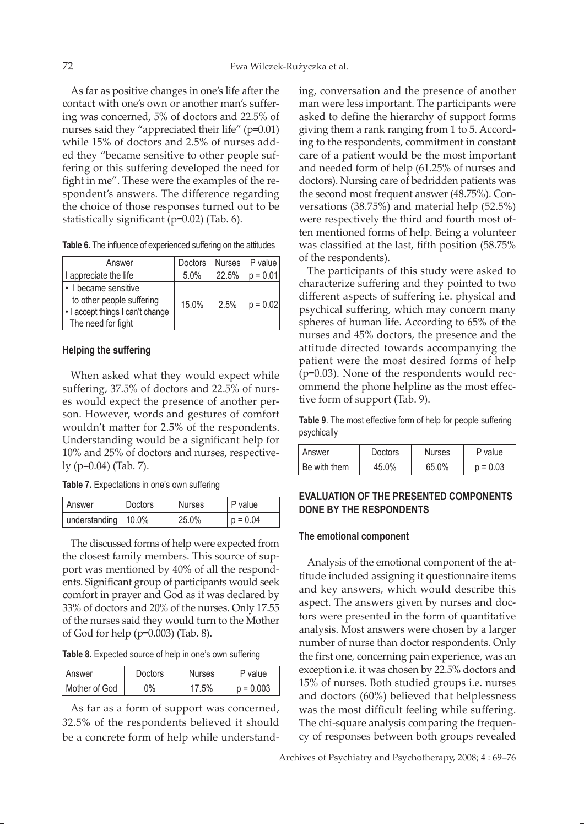As far as positive changes in one's life after the contact with one's own or another man's suffering was concerned, 5% of doctors and 22.5% of nurses said they "appreciated their life" (p=0.01) while 15% of doctors and 2.5% of nurses added they "became sensitive to other people suffering or this suffering developed the need for fight in me". These were the examples of the respondent's answers. The difference regarding the choice of those responses turned out to be statistically significant (p=0.02) (Tab. 6).

|  |  | Table 6. The influence of experienced suffering on the attitudes |  |  |
|--|--|------------------------------------------------------------------|--|--|
|  |  |                                                                  |  |  |

| Answer                                                                                                      | Doctors | <b>Nurses</b> | P value    |
|-------------------------------------------------------------------------------------------------------------|---------|---------------|------------|
| I appreciate the life                                                                                       | 5.0%    | 22.5%         | $p = 0.01$ |
| • I became sensitive<br>to other people suffering<br>· I accept things I can't change<br>The need for fight | 15.0%   | 2.5%          | $p = 0.02$ |

## **Helping the suffering**

When asked what they would expect while suffering, 37.5% of doctors and 22.5% of nurses would expect the presence of another person. However, words and gestures of comfort wouldn't matter for 2.5% of the respondents. Understanding would be a significant help for 10% and 25% of doctors and nurses, respectively (p=0.04) (Tab. 7).

**Table 7.** Expectations in one's own suffering

| I Answer              | Doctors | <b>Nurses</b> | . P value  |
|-----------------------|---------|---------------|------------|
| understanding   10.0% |         | 25.0%         | $p = 0.04$ |

The discussed forms of help were expected from the closest family members. This source of support was mentioned by 40% of all the respondents. Significant group of participants would seek comfort in prayer and God as it was declared by 33% of doctors and 20% of the nurses. Only 17.55 of the nurses said they would turn to the Mother of God for help (p=0.003) (Tab. 8).

**Table 8.** Expected source of help in one's own suffering

| l Answer      | <b>Doctors</b> |       | P value     |  |
|---------------|----------------|-------|-------------|--|
| Mother of God | ገ%             | 17.5% | $p = 0.003$ |  |

As far as a form of support was concerned, 32.5% of the respondents believed it should be a concrete form of help while understanding, conversation and the presence of another man were less important. The participants were asked to define the hierarchy of support forms giving them a rank ranging from 1 to 5. According to the respondents, commitment in constant care of a patient would be the most important and needed form of help (61.25% of nurses and doctors). Nursing care of bedridden patients was the second most frequent answer (48.75%). Conversations (38.75%) and material help (52.5%) were respectively the third and fourth most often mentioned forms of help. Being a volunteer was classified at the last, fifth position (58.75% of the respondents).

The participants of this study were asked to characterize suffering and they pointed to two different aspects of suffering i.e. physical and psychical suffering, which may concern many spheres of human life. According to 65% of the nurses and 45% doctors, the presence and the attitude directed towards accompanying the patient were the most desired forms of help (p=0.03). None of the respondents would recommend the phone helpline as the most effective form of support (Tab. 9).

**Table 9**. The most effective form of help for people suffering psychically

| Answer       | <b>Doctors</b> |       | P value    |  |
|--------------|----------------|-------|------------|--|
| Be with them | 45.0%          | 65.0% | $p = 0.03$ |  |

# **EVALUATION OF THE PRESENTED COMPONENTS DONE BY THE RESPONDENTS**

#### **The emotional component**

Analysis of the emotional component of the attitude included assigning it questionnaire items and key answers, which would describe this aspect. The answers given by nurses and doctors were presented in the form of quantitative analysis. Most answers were chosen by a larger number of nurse than doctor respondents. Only the first one, concerning pain experience, was an exception i.e. it was chosen by 22.5% doctors and 15% of nurses. Both studied groups i.e. nurses and doctors (60%) believed that helplessness was the most difficult feeling while suffering. The chi-square analysis comparing the frequency of responses between both groups revealed

Archives of Psychiatry and Psychotherapy, 2008; 4 : 69–76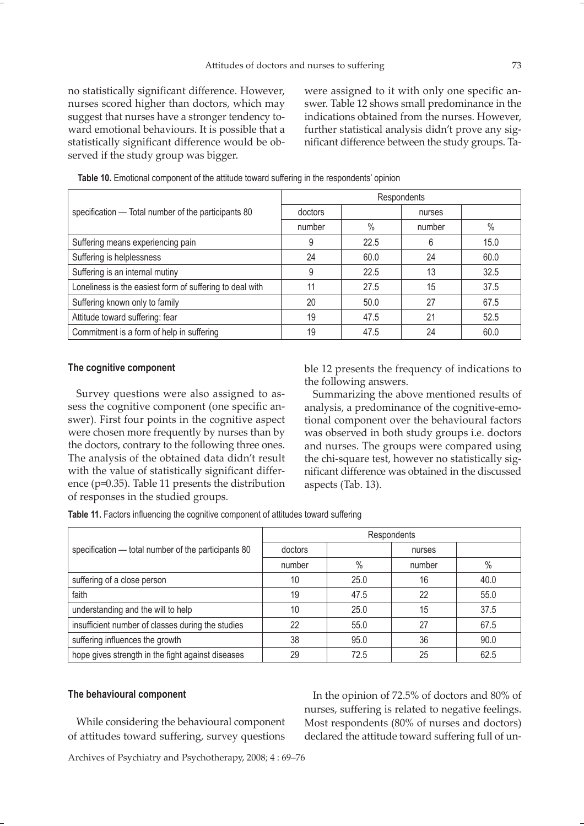no statistically significant difference. However, nurses scored higher than doctors, which may suggest that nurses have a stronger tendency toward emotional behaviours. It is possible that a statistically significant difference would be observed if the study group was bigger.

were assigned to it with only one specific answer. Table 12 shows small predominance in the indications obtained from the nurses. However, further statistical analysis didn't prove any significant difference between the study groups. Ta-

|                                                          | Respondents |      |        |      |  |
|----------------------------------------------------------|-------------|------|--------|------|--|
| specification - Total number of the participants 80      | doctors     |      | nurses |      |  |
|                                                          | number      | $\%$ | number | $\%$ |  |
| Suffering means experiencing pain                        | 9           | 22.5 | 6      | 15.0 |  |
| Suffering is helplessness                                | 24          | 60.0 | 24     | 60.0 |  |
| Suffering is an internal mutiny                          | 9           | 22.5 | 13     | 32.5 |  |
| Loneliness is the easiest form of suffering to deal with | 11          | 27.5 | 15     | 37.5 |  |
| Suffering known only to family                           | 20          | 50.0 | 27     | 67.5 |  |
| Attitude toward suffering: fear                          | 19          | 47.5 | 21     | 52.5 |  |
| Commitment is a form of help in suffering                | 19          | 47.5 | 24     | 60.0 |  |

**Table 10.** Emotional component of the attitude toward suffering in the respondents' opinion

## **The cognitive component**

Survey questions were also assigned to assess the cognitive component (one specific answer). First four points in the cognitive aspect were chosen more frequently by nurses than by the doctors, contrary to the following three ones. The analysis of the obtained data didn't result with the value of statistically significant difference (p=0.35). Table 11 presents the distribution of responses in the studied groups.

ble 12 presents the frequency of indications to the following answers.

Summarizing the above mentioned results of analysis, a predominance of the cognitive-emotional component over the behavioural factors was observed in both study groups i.e. doctors and nurses. The groups were compared using the chi-square test, however no statistically significant difference was obtained in the discussed aspects (Tab. 13).

**Table 11.** Factors influencing the cognitive component of attitudes toward suffering

|                                                     | Respondents |      |        |      |
|-----------------------------------------------------|-------------|------|--------|------|
| specification — total number of the participants 80 | doctors     |      | nurses |      |
|                                                     | number      | $\%$ | number | $\%$ |
| suffering of a close person                         | 10          | 25.0 | 16     | 40.0 |
| faith                                               | 19          | 47.5 | 22     | 55.0 |
| understanding and the will to help                  | 10          | 25.0 | 15     | 37.5 |
| insufficient number of classes during the studies   | 22          | 55.0 | 27     | 67.5 |
| suffering influences the growth                     | 38          | 95.0 | 36     | 90.0 |
| hope gives strength in the fight against diseases   | 29          | 72.5 | 25     | 62.5 |

# **The behavioural component**

While considering the behavioural component of attitudes toward suffering, survey questions

In the opinion of 72.5% of doctors and 80% of nurses, suffering is related to negative feelings. Most respondents (80% of nurses and doctors) declared the attitude toward suffering full of un-

Archives of Psychiatry and Psychotherapy, 2008; 4 : 69–76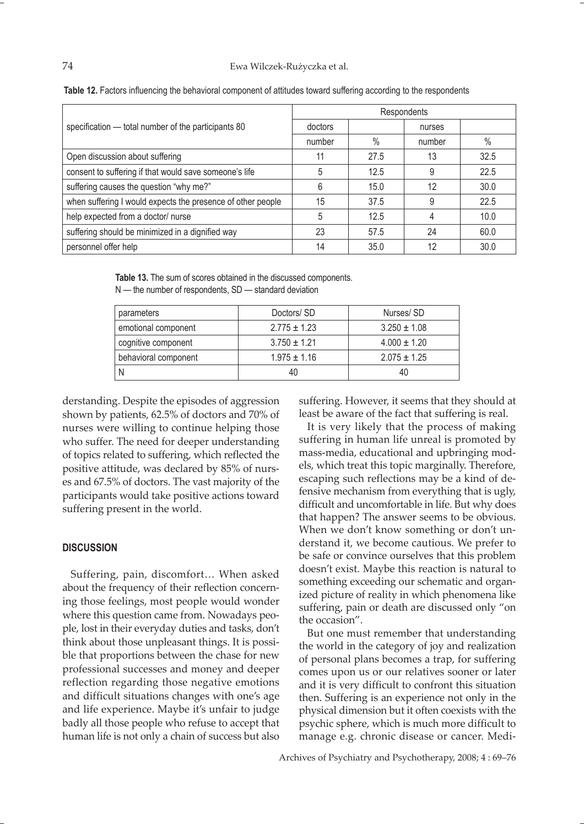|                                                             | Respondents |      |        |      |
|-------------------------------------------------------------|-------------|------|--------|------|
| specification - total number of the participants 80         | doctors     |      | nurses |      |
|                                                             | number      | $\%$ | number | $\%$ |
| Open discussion about suffering                             | 11          | 27.5 | 13     | 32.5 |
| consent to suffering if that would save someone's life      | 5           | 12.5 |        | 22.5 |
| suffering causes the question "why me?"                     | 6           | 15.0 | 12     | 30.0 |
| when suffering I would expects the presence of other people | 15          | 37.5 |        | 22.5 |
| help expected from a doctor/ nurse                          | 5           | 12.5 |        | 10.0 |
| suffering should be minimized in a dignified way            | 23          | 57.5 | 24     | 60.0 |
| personnel offer help                                        | 14          | 35.0 | 12     | 30.0 |

| Table 12. Factors influencing the behavioral component of attitudes toward suffering according to the respondents |  |  |  |  |
|-------------------------------------------------------------------------------------------------------------------|--|--|--|--|
|-------------------------------------------------------------------------------------------------------------------|--|--|--|--|

**Table 13.** The sum of scores obtained in the discussed components. N — the number of respondents, SD — standard deviation

| parameters           | Doctors/ SD      | Nurses/SD        |
|----------------------|------------------|------------------|
| emotional component  | $2.775 \pm 1.23$ | $3.250 \pm 1.08$ |
| cognitive component  | $3.750 \pm 1.21$ | $4.000 \pm 1.20$ |
| behavioral component | $1.975 \pm 1.16$ | $2.075 \pm 1.25$ |
|                      | 40               | 40               |

derstanding. Despite the episodes of aggression shown by patients, 62.5% of doctors and 70% of nurses were willing to continue helping those who suffer. The need for deeper understanding of topics related to suffering, which reflected the positive attitude, was declared by 85% of nurses and 67.5% of doctors. The vast majority of the participants would take positive actions toward suffering present in the world.

# **DISCUSSION**

Suffering, pain, discomfort… When asked about the frequency of their reflection concerning those feelings, most people would wonder where this question came from. Nowadays people, lost in their everyday duties and tasks, don't think about those unpleasant things. It is possible that proportions between the chase for new professional successes and money and deeper reflection regarding those negative emotions and difficult situations changes with one's age and life experience. Maybe it's unfair to judge badly all those people who refuse to accept that human life is not only a chain of success but also

suffering. However, it seems that they should at least be aware of the fact that suffering is real.

It is very likely that the process of making suffering in human life unreal is promoted by mass-media, educational and upbringing models, which treat this topic marginally. Therefore, escaping such reflections may be a kind of defensive mechanism from everything that is ugly, difficult and uncomfortable in life. But why does that happen? The answer seems to be obvious. When we don't know something or don't understand it, we become cautious. We prefer to be safe or convince ourselves that this problem doesn't exist. Maybe this reaction is natural to something exceeding our schematic and organized picture of reality in which phenomena like suffering, pain or death are discussed only "on the occasion".

But one must remember that understanding the world in the category of joy and realization of personal plans becomes a trap, for suffering comes upon us or our relatives sooner or later and it is very difficult to confront this situation then. Suffering is an experience not only in the physical dimension but it often coexists with the psychic sphere, which is much more difficult to manage e.g. chronic disease or cancer. Medi-

Archives of Psychiatry and Psychotherapy, 2008; 4 : 69–76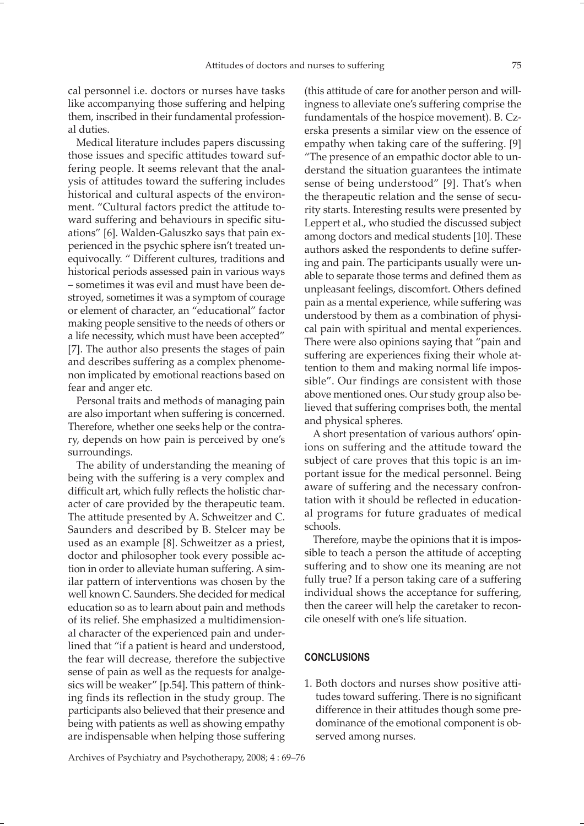cal personnel i.e. doctors or nurses have tasks like accompanying those suffering and helping them, inscribed in their fundamental professional duties.

Medical literature includes papers discussing those issues and specific attitudes toward suffering people. It seems relevant that the analysis of attitudes toward the suffering includes historical and cultural aspects of the environment. "Cultural factors predict the attitude toward suffering and behaviours in specific situations" [6]. Walden-Galuszko says that pain experienced in the psychic sphere isn't treated unequivocally. " Different cultures, traditions and historical periods assessed pain in various ways – sometimes it was evil and must have been destroyed, sometimes it was a symptom of courage or element of character, an "educational" factor making people sensitive to the needs of others or a life necessity, which must have been accepted" [7]. The author also presents the stages of pain and describes suffering as a complex phenomenon implicated by emotional reactions based on fear and anger etc.

Personal traits and methods of managing pain are also important when suffering is concerned. Therefore, whether one seeks help or the contrary, depends on how pain is perceived by one's surroundings.

The ability of understanding the meaning of being with the suffering is a very complex and difficult art, which fully reflects the holistic character of care provided by the therapeutic team. The attitude presented by A. Schweitzer and C. Saunders and described by B. Stelcer may be used as an example [8]. Schweitzer as a priest, doctor and philosopher took every possible action in order to alleviate human suffering. A similar pattern of interventions was chosen by the well known C. Saunders. She decided for medical education so as to learn about pain and methods of its relief. She emphasized a multidimensional character of the experienced pain and underlined that "if a patient is heard and understood, the fear will decrease, therefore the subjective sense of pain as well as the requests for analgesics will be weaker" [p.54]. This pattern of thinking finds its reflection in the study group. The participants also believed that their presence and being with patients as well as showing empathy are indispensable when helping those suffering

(this attitude of care for another person and willingness to alleviate one's suffering comprise the fundamentals of the hospice movement). B. Czerska presents a similar view on the essence of empathy when taking care of the suffering. [9] "The presence of an empathic doctor able to understand the situation guarantees the intimate sense of being understood" [9]. That's when the therapeutic relation and the sense of security starts. Interesting results were presented by Leppert et al., who studied the discussed subject among doctors and medical students [10]. These authors asked the respondents to define suffering and pain. The participants usually were unable to separate those terms and defined them as unpleasant feelings, discomfort. Others defined pain as a mental experience, while suffering was understood by them as a combination of physical pain with spiritual and mental experiences. There were also opinions saying that "pain and suffering are experiences fixing their whole attention to them and making normal life impossible". Our findings are consistent with those above mentioned ones. Our study group also believed that suffering comprises both, the mental and physical spheres.

A short presentation of various authors' opinions on suffering and the attitude toward the subject of care proves that this topic is an important issue for the medical personnel. Being aware of suffering and the necessary confrontation with it should be reflected in educational programs for future graduates of medical schools.

Therefore, maybe the opinions that it is impossible to teach a person the attitude of accepting suffering and to show one its meaning are not fully true? If a person taking care of a suffering individual shows the acceptance for suffering, then the career will help the caretaker to reconcile oneself with one's life situation.

## **CONCLUSIONS**

1. Both doctors and nurses show positive attitudes toward suffering. There is no significant difference in their attitudes though some predominance of the emotional component is observed among nurses.